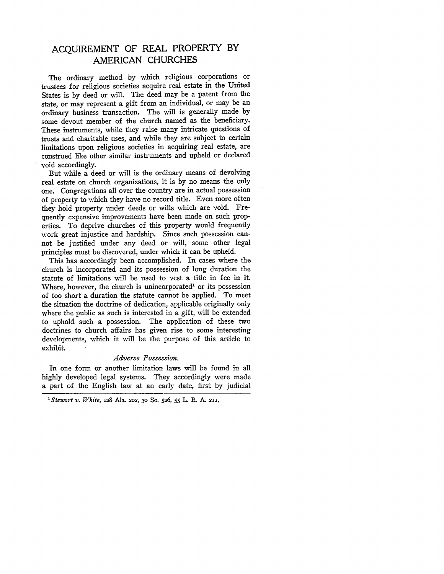## **ACQUIREMENT** OF REAL PROPERTY BY **AMERICAN CHURCHES**

The ordinary method by which religious corporations or trustees for religious societies acquire real estate in the United States is by deed or will. The deed may be a patent from the state, or may represent a gift from an individual, or may be an ordinary business transaction. The will is generally made by some devout member of the church named as the beneficiary. These instruments, while they raise many intricate questions of trusts and charitable uses, and while they are subject to certain limitations upon religious societies in acquiring real estate, are construed like other similar instruments and upheld or declared void accordingly.

But while a deed or will is the ordinary means of devolving real estate on church organizations, it is by no means the only one. Congregations all over the country are in actual possession of property to which they have no record title. Even more often they hold property under deeds or wills which are void. Frequently expensive improvements have been made on such properties. To deprive churches of this property would frequently work great injustice and hardship. Since such possession cannot be justified under any deed or will, some other legal principles must be discovered, under which it can be upheld.

This has accordingly been accomplished. In cases where the church is incorporated and its possession of long duration the statute of limitations will be used to vest a title in fee in it. Where, however, the church is unincorporated' or its possession of too short a duration the statute cannot be applied. To meet the situation the doctrine of dedication, applicable originally only where the public as such is interested in a gift, will be extended to uphold such a possession. The application of these two doctrines to church affairs has given rise to some interesting developments, which it will be the purpose of this article to exhibit.

## *Adverse Possession.*

In one form or another limitation laws will be found in all highly developed legal systems. They accordingly were made a part of the English law at an early date, first by judicial

*<sup>&#</sup>x27;Stewart v. White,* 128 Ala. *202,* **30 So.** *526,* 55 L. R. **A. 211.**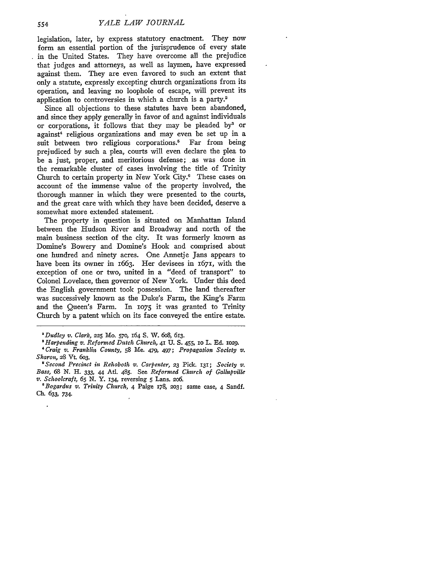legislation, later, by express statutory enactment. They now form an essential portion of the jurisprudence of every state in the United States. They have overcome all the prejudice that judges and attorneys, as well as laymen, have expressed against them. They are even favored to such an extent that only a statute, expressly excepting church organizations from its operation, and leaving no loophole of escape, will prevent its application to controversies in which a church is a party.<sup>2</sup>

Since all objections to these statutes have been abandoned, and since they apply generally in favor of and against individuals or corporations, it follows that they may be pleaded by3 or against<sup>4</sup> religious organizations and may even be set up in a suit between two religious corporations.<sup>5</sup> Far from being prejudiced **by** such a plea, courts will even declare the plea to be a just, proper, and meritorious defense; as was done in the remarkable cluster of cases involving the title of Trinity Church to certain property in New York City.<sup>6</sup> These cases on account of the immense value of the property involved, the thorough manner in which they were presented to the courts, and the great care with which they have been decided, deserve a somewhat more extended statement.

The property in question is situated on Manhattan Island between the Hudson River and Broadway and north of the main business section of the city. It was formerly known as Domine's Bowery and Domine's Hook and comprised about one hundred and ninety acres. One Annetje Jans appears to have been its owner in 1663. Her devisees in 1671, with the exception of one or two, united in a "deed of transport" to Colonel Lovelace, then governor of New York. Under this deed the English government took possession. The land thereafter was successively known as the Duke's Farm, the King's Farm and the Queen's Farm. In **1075** it was granted to Trinity Church **by** a patent which on its face conveyed the entire estate.

*Dudley v. Clark,* **225** Mo. **570,** 164 **S.** W. 6o8, 613.

*<sup>8</sup>Harpending v. Reformed Dutch Church,* **41 U. S.** 455, io L. **Ed. 1o29.**

*<sup>&#</sup>x27;Craig v. Franklin County,* 58 Me. 479, 497; *Propagation Society v. Sharon,* 28 Vt *6o3.*

*<sup>&#</sup>x27;Second Precinct in Rehoboth v. Carpenter,* **23** Pick. **131;** *Society v. Bass,* 68 **N.** H. 333, **44** At. 485. See *Reformed Church of Gallupville v. Schoolcraft, 65 N.* Y. 134, reversing 5 Lans. **26.**

*<sup>&#</sup>x27;Bogardus v. Trinity Church,* 4 Paige 178, **203;** same case, 4 Sandf. **Ch.** *633,* 734.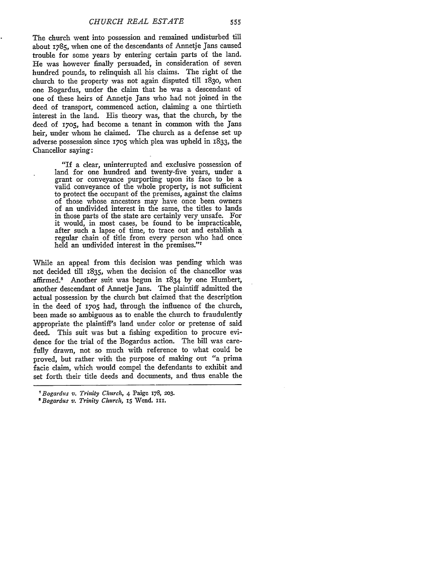The church went into possession and remained undisturbed till about 1785, when one of the descendants of Annetje Jans caused trouble for some years by entering certain parts of the land. He was however finally persuaded, in consideration of seven hundred pounds, to relinquish all his claims. The right of the church to the property was not again disputed till 1830, when one Bogardus, under the claim that he was a descendant of one of these heirs of Annetje Jans who had not joined in the deed of transport, commenced action, claiming a one thirtieth interest in the land. His theory was, that the church, by the deed of **1705,** had become a tenant in common with the Jans heir, under whom he claimed. The church as a defense set up adverse possession since 1705 which plea was upheld in 1833, the Chancellor saying:

> "If a clear, uninterrupted and exclusive possession of land for one hundred and twenty-five years, under a grant or conveyance purporting upon its face to be a valid conveyance of the whole property, is not sufficient to protect the occupant of the premises, against the claims of those whose ancestors may have once been owners of an undivided interest in the same, the titles to lands in those parts of the state are certainly very unsafe. For it would, in most cases, be found to be impracticable, after such a lapse of time, to trace out and establish a regular chain of title from every person who had once held an undivided interest in the premises."<sup>7</sup>

While an appeal from this decision was pending which was not decided till 1835, when the decision of the chancellor was affirmed." Another suit was begun in 1834 by one Humbert, another descendant of Annetje Jans. The plaintiff admitted the actual possession by the church but claimed that the description in the deed of **1705** had, through the influence of the church, been made so ambiguous as to enable the church to fraudulently appropriate the plaintiff's land under color or pretense of said deed. This suit was but a fishing expedition to procure evidence for the trial of the Bogardus action. The bill was carefully drawn, not so much with reference to what could be proved, but rather with the purpose of making out "a prima facie claim, which would compel the defendants to exhibit and set forth their title deeds and documents, and thus enable the

*<sup>&</sup>quot;Bogardus v. Trinity Church,* 4 Paige 178, **203.**

*<sup>&#</sup>x27;Bogardus v. Trinity Church,* **15** Wend. **ini.**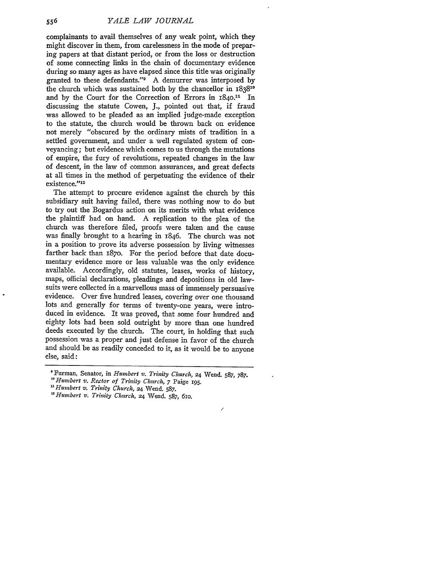complainants to avail themselves of any weak point, which they might discover in them, from carelessness in the mode of preparing papers at that distant period, or from the loss or destruction of some connecting links in the chain of documentary evidence during so many ages as have elapsed since this title was originally granted to these defendants."9 A demurrer was interposed by the church which was sustained both by the chancellor in 1838<sup>10</sup> and by the Court for the Correction of Errors in **184o.11** In discussing the statute Cowen, J., pointed out that, if fraud was allowed to be pleaded as an implied judge-made exception to the statute, the church would be thrown back on evidence not merely "obscured by the ordinary mists of tradition in a settled government, and under a well regulated system of conveyancing; but evidence which comes to us through the mutations of empire, the fury of revolutions, repeated changes in the law of descent, in the law of common assurances, and great defects at all times in the method of perpetuating the evidence of their existence."12

The attempt to procure evidence against the church by this subsidiary suit having failed, there was nothing now to do but to try out the Bogardus action on its merits with what evidence the plaintiff had on hand. A replication to the plea of the church was therefore filed, proofs were taken and the cause was finally brought to a hearing in 1846. The church was not in a position to prove its adverse possession by living witnesses farther back than 1870. For the period before that date documentary evidence more or less valuable was the only evidence available. Accordingly, old statutes, leases, works of history, maps, official declarations, pleadings and depositions in old lawsuits were collected in a marvellous mass of immensely persuasive evidence. Over five hundred leases, covering over one thousand lots and generally for terms of twenty-one years, were introduced in evidence. It was proved, that some four hundred and eighty lots had been sold outright by more than one hundred deeds executed by the church. The court, in holding that such possession was a proper and just defense in favor of the church and should be as readily conceded to it, as it would be to anyone else, said:

Ž

<sup>&#</sup>x27;Furman, Senator, in *Humbert v. Trinity Church,* 24 Wend. 587, 787.

*<sup>&</sup>quot;'Humbert v. Rexctor of Trinity Church,* **7** Paige 195.

*<sup>&#</sup>x27;Humbert v. Trinity Church,* 24 Wend. 587.

*<sup>&#</sup>x27;Humbert v. Trinity Church,* 24 Wend. 587, 61o.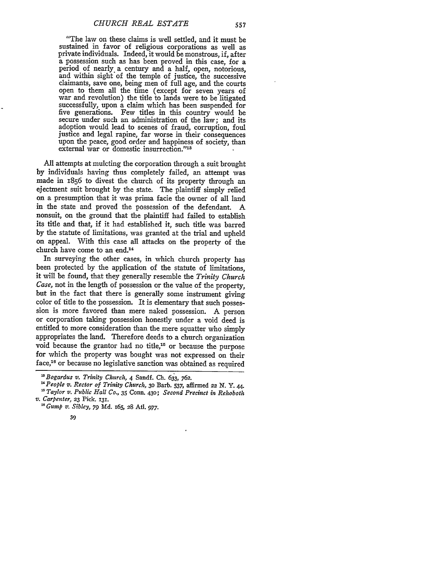"The law on these claims is well settled, and it must be sustained in favor of religious corporations as well as private individuals. Indeed, it would be monstrous, if, after a possession such as has been proved in this case, for a period of nearly a century and a half, open, notorious, and within sight of the temple of justice, the successive claimants, save one, being men of full age, and the courts open to them all the time (except for seven years of war and revolution) the title to lands were to be litigated successfully, upon a claim which has been suspended for five generations. Few titles in this country would be secure under such an administration of the law; and its adoption would lead to scenes of fraud, corruption, foul justice and legal rapine, far worse in their consequences upon the peace, good order and happiness of society, than external war or domestic insurrection."<sup>18</sup>

All attempts at mulcting the corporation through a suit brought by individuals having thus completely failed, an attempt was made in 1856 to divest the church of its property through an ejectment suit brought by the state. The plaintiff simply relied on a presumption that it was prima facie the owner of all land in the state and proved the possession of the defendant. A nonsuit, on the ground that the plaintiff had failed to establish its title and that, if it had established it, such title was barred by the statute of limitations, was granted at the trial and upheld on appeal. With this case all attacks on the property of the church have come to an end.<sup>14</sup>

In surveying the other cases, in which church property has been protected by the application of the statute of limitations, it *will* be found, that they generally resemble the *Trinity Church Case,* not in the length of possession or the value of the property, but in the fact that there is generally some instrument giving color of title to the possession. It is elementary that such possession is more favored than mere naked possession. A person or corporation taking possession honestly under a void deed is entitled to more consideration than the mere squatter who simply appropriates the land. Therefore deeds to a church organization void because the grantor had no title,<sup>15</sup> or because the purpose for which the property was bought was not expressed on their face,<sup>16</sup> or because no legislative sanction was obtained as required

*<sup>&#</sup>x27;Bogardus v. Trinity Church,* 4 Sandf. **Ch.** *633,* **762.**

<sup>&</sup>quot;'People *v. Rector of Trinity Church,* **3o** Barb. **537,** affirmed **22** *N.* Y. **44.** *Taylor v. Public Hall Co.,* **35** Conn. **430;** *Second Precinct in Rehoboth v. Carpenter,* **23** Pick. **13i.**

*Gump v. Sibley, 79* **Md.** 165, **28** AtI. **977.**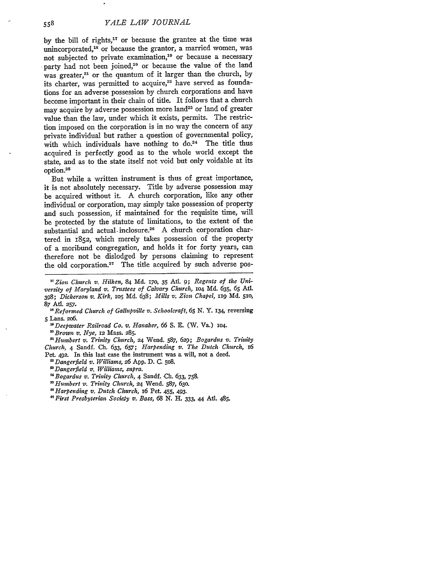by the bill of rights, $17$  or because the grantee at the time was unincorporated,<sup>18</sup> or because the grantor, a married women, was not subjected to private examination,<sup>19</sup> or because a necessary party had not been joined,<sup>20</sup> or because the value of the land was greater,<sup>21</sup> or the quantum of it larger than the church, by its charter, was permitted to acquire,<sup>22</sup> have served as foundations for an adverse possession by church corporations and have become important in their chain of title. It follows that a church may acquire by adverse possession more land<sup>23</sup> or land of greater value than the law, under which it exists, permits. The restriction imposed on the corporation is in no way the concern of any private individual but rather a question of governmental policy, with which individuals have nothing to do.<sup>24</sup> The title thus acquired is perfectly good as to the whole world except the state, and as to the state itself not void but only voidable at its option.<sup>25</sup>

But while a written instrument is thus of great importance, it is not absolutely necessary. Title by adverse possession may be acquired without it. A church corporation, like any other individual or corporation, may simply take possession of property and such possession, if maintained for the requisite time, will be protected by the statute of limitations, to the extent of the substantial and actual inclosure.<sup>26</sup> A church corporation chartered in 1852, which merely takes possession of the property of a moribund congregation, and holds it for forty years, can therefore not be dislodged by persons claiming to represent the old corporation.<sup>27</sup> The title acquired by such adverse pos-

*'Deepwater Railroad Co. v. Hanaker,* 66 S. E. (W. Va.) lO4.

*"Brown v. Nye, 12* Mass. 285.

*'Humbert v. Trinity Church,* 24 Wend. 587, *629; Bogardus v. Trinity Church,* 4 Sandf. **Ch.** *633, 657; Harpending v. The Dutch Church, 16* Pet. 492. In this last case the instrument was a will, not a deed.

- *Dangerfield v. Williams, 26* App. D. C. 508.
- *'Dangerfield v. Williams, supra.*
- *Bogardus v. Trinity Church,* 4 Sandf. Ch. 633, **758.**
- *'Humbert v. Trinity Church,* **24** Wend. **587,** 63o.
- *"Harpending v. Dutch Church,* 16 Pet. 455, 493.
- <sup>27</sup> First Presbyterian Society v. Bass, 68 N. H. 333, 44 Atl. 485.

*<sup>&#</sup>x27; <sup>T</sup> Zion Church v. Hilken,* 84 **Md.** 170, 35 Atl. *9; Regents of the University of Maryland v. Trustees of Calvary Church,* **104 Md.** 635, *65* Atl. 398; *Dickerson v. Kirk,* **io5 Md.** 638; *Mills v. Zion Chapel,* **i19 Md. 51o,** 87 At. **257.**

*<sup>&</sup>quot;Reforned Church of Gallupville v. Schoolcraft, 65* N. Y. I34, reversing 5 Lans. 2o6.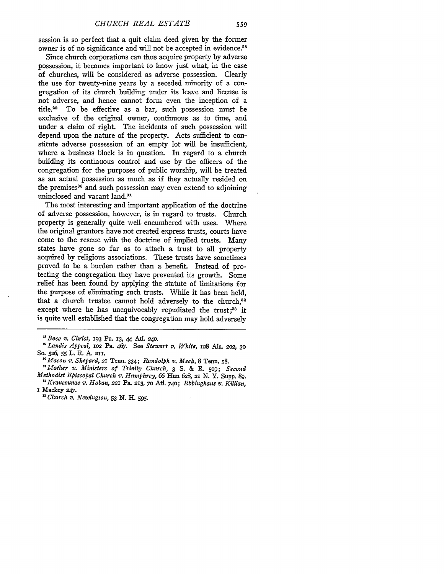session is so perfect that a quit claim deed given by the former owner is of no significance and will not be accepted in evidence.<sup>28</sup>

Since church corporations can thus acquire property by adverse possession, it becomes important to know just what, in the case of churches, will be considered as adverse possession. Clearly the use for twenty-nine years by a seceded minority of a congregation of its church building under its leave and license is not adverse, and hence cannot form even the inception of a title.20 To be effective as a bar, such possession must be exclusive of the original owner, continuous as to time, and under a claim of right. The incidents of such possession will depend upon the nature of the property. Acts sufficient to constitute adverse possession of an empty lot will be insufficient, where a business block is in question. In regard to a church building its continuous control and use by the officers of the congregation for the purposes of public worship, will be treated as an actual possession as much as if they actually resided on the premises<sup>30</sup> and such possession may even extend to adjoining uninclosed and vacant land.<sup>31</sup>

The most interesting and important application of the doctrine of adverse possession, however, is in regard to trusts. Church property is generally quite well encumbered with uses. Where the original grantors have not created express trusts, courts have come to the rescue with the doctrine of implied trusts. Many states have gone so far as to attach a trust to all property acquired by religious associations. These trusts have sometimes proved to be a burden rather than a benefit. Instead of protecting the congregation they have prevented its growth. Some relief has been found by applying the statute of limitations for the purpose of eliminating such trusts. While it has been held, that a church trustee cannot hold adversely to the church.<sup>32</sup> except where he has unequivocably repudiated the trust;<sup>33</sup> it is quite well established that the congregation may hold adversely

**<sup>i</sup>**Mackey 247. **<sup>u</sup>***Church v. Newington,* 53 *N.* H. **595.**

*Bose v. Christ, 193* Pa. **13,** 44 AtI. **240.**

*<sup>&</sup>quot;Landis Appeal,* iO Pa. 467. See *Stewart v. White, 128* Ala. 202, **30** So. *526,* **55** L. *R.* **A. 21i.**

*<sup>&#</sup>x27; Macon v. Shepard, 2i* Tenn. 334; *Randolph v. Meek,* **8** Tenn. **58.**

*<sup>&#</sup>x27; Mather v. Ministers of Trinity Church, 3 S.* & R **509;** *Second Methodist Episcopal Church v. Humphrey, 66* Hun 628, **21 N.** Y. Supp. 89. *' Krauczunas v. Hoban,* **221** Pa. 213, *70* AtI. 740; *Ebbinghaus v. Killian,*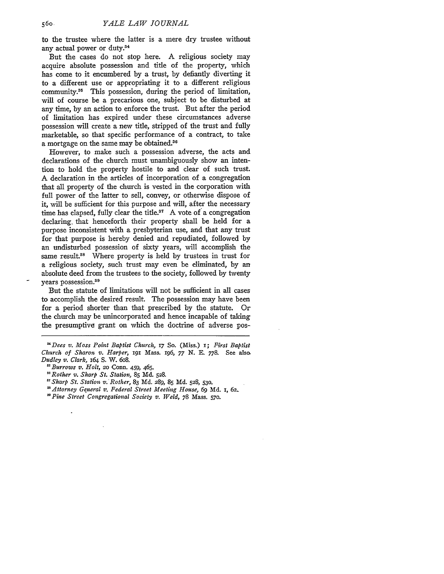to the trustee where the latter is a mere dry trustee without any actual power or duty.<sup>34</sup>

But the cases do not stop here. A religious society may acquire absolute possession and title of the property, which has come to it encumbered by a trust, by defiantly diverting it to a different use or appropriating it to a different religious community.<sup>35</sup> This possession, during the period of limitation, will of course be a precarious one, subject to be disturbed at any time, by an action to enforce the trust. But after the period of limitation has expired under these circumstances adverse possession will create a new title, stripped of the trust and fully marketable, so that specific performance of a contract, to take a mortgage on the same may be obtained.<sup>36</sup>

However, to make such a possession adverse, the acts and declarations of the church must unambiguously show an intention to hold the property hostile to and clear of such trust. A declaration in the articles of incorporation of a congregation that all property of the church is vested in the corporation with full power of the latter to sell, convey, or otherwise dispose of it, will be sufficient for this purpose and will, after the necessary time has elapsed, fully clear the title.<sup>37</sup> A vote of a congregation declaring that henceforth their property shall be held for a purpose inconsistent with a presbyterian use, and that any trust for that purpose is hereby denied and repudiated, followed **by** an undisturbed possession of sixty years, will accomplish the same result.<sup>88</sup> Where property is held by trustees in trust for a religious society, such trust may even be eliminated, by an absolute deed from the trustees to the society, followed by twenty years possession.<sup>39</sup>

But the statute of limitations will not be sufficient in all cases to accomplish the desired result. The possession may have been for a period shorter than that prescribed by the statute. Or the church may be unincorporated and hence incapable of taking the presumptivd grant on which the doctrine of adverse pos-

- *'Attorney Gelneral v. Federal Street Meeting House, 69* Md. *i, 62.*
- *"Pine Street Congregational Society v. Weld,* 78 Mass. **570.**

*<sup>&</sup>quot;Dees v. Moss Point Baptist Church, 17* **So.** (Miss.) I; *First Baptist Church of Sharon v. Harper,* 191 Mass. 196, 77 *N.* E. *778.* See also. *Dudley v. Clark,* 164 **S.** W. 6o8.

<sup>&</sup>lt;sup>25</sup> *Burrows v. Holt, 20 Conn. 459, 465.* 

*<sup>&</sup>quot;Rother v. Sharp St. Station,* 85 Md. 528.

*<sup>&</sup>quot; Sharp St. Station v. Rother,* **83** Md. *289,* **85** Md. 528, **530.**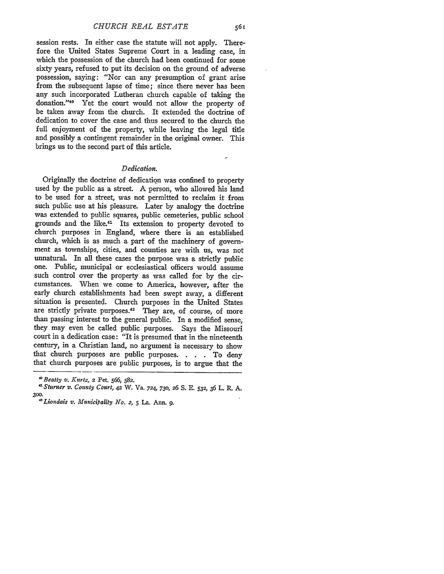session rests. In either case the statute will not apply. Therefore the United States Supreme Court in a leading case, in which the possession of the church had been continued for some sixty years, refused to put its decision on the ground of adverse possession, saying: "Nor can any presumption of grant arise from the subsequent lapse of time; since there never has been any such incorporated Lutheran church capable of taking the donation."<sup>40</sup> Yet the court would not allow the property of be taken away from the church. It extended the doctrine of dedication to cover the case and thus secured to the church the full enjoyment of the property, while leaving the legal title and possibly a contingent remainder in the original owner. This brings us to the second part of this article.

## *Dedication.*

Originally the doctrine of dedication was confined to property used by the public as a street. A person, who allowed his land to be used for a street, was not permitted to reclaim it from such public use at his pleasure. Later **by** analogy the doctrine was extended to public squares, public cemeteries, public school grounds and the like. $41$  Its extension to property devoted to church purposes in England, where there is an established church, which is as much a part of the machinery of government as townships, cities, and counties are with us, was not unnatural. In all these cases the purpose was a strictly public one. Public, municipal or ecclesiastical officers would assume such control over the property as was called for **by** the circumstances. When we come to America, however, after the early church establishments had been swept away, a different situation is presented. Church purposes in the United States are strictly private purposes.<sup>42</sup> They are, of course, of more than passing interest to the general public. In a modified sense, they may even be called public purposes. Says the Missouri court in a dedication case: "It is presumed that in the nineteenth century, in a Christian land, no argument is necessary to show that church purposes are public purposes. **. . .** To deny that church purposes are public purposes, is to argue that the

*<sup>&#</sup>x27;Beatty v. KurtZ,* 2 Pet. 566, 582.

*<sup>&</sup>quot;Sturner v. County Court,* 42 W. Va. 724, **730, 26 S. E. 532, 36** L. R. A. *300.*

**<sup>,</sup>** *Liondais v. Municipality No. 2,* **5** La. Ann. 9.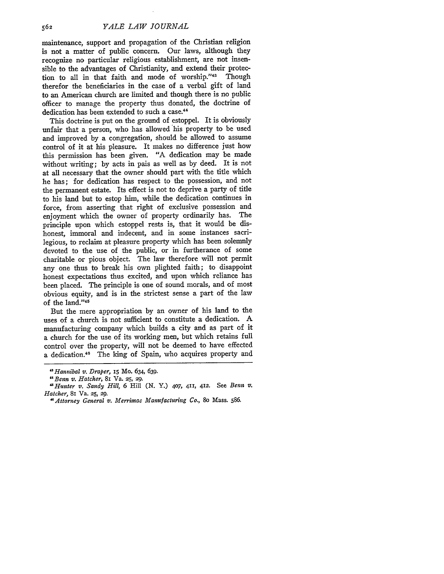maintenance, support and propagation of the Christian religion is not a matter of public concern. Our laws, although they recognize no particular religious establishment, are not insensible to the advantages of Christianity, and extend their protection to all in that faith and mode of worship."43 Though therefor the beneficiaries in the case of a verbal gift of land to an American church are limited and though there is no public officer to manage the property thus donated, the doctrine of dedication has been extended to such a case.<sup>44</sup>

This doctrine is put on the ground of estoppel. It is obviously unfair that a person, who has allowed his property to be used and improved by a congregation, should be allowed to assume control of it at his pleasure. It makes no difference just how this permission has been given. "A dedication may be made without writing; by acts in pais as well as by deed. It is not at all necessary that the owner should part with the title which he has; for dedication has respect to the possession, and not the permanent estate. Its effect is not to deprive a party of title to his land but to estop him, while the dedication continues in force, from asserting that right of exclusive possession and enjoyment which the owner of property ordinarily has. The principle upon which estoppel rests is, that it would be dishonest, immoral and indecent, and in some instances sacrilegious, to reclaim at pleasure property which has been solemnly devoted to the use of the public, or in furtherance of some charitable or pious object. The law therefore will not permit any one thus to break his own plighted faith; to disappoint honest expectations thus excited, and upon which reliance has been placed. The principle is one of sound morals, and of most obvious equity, and is in the strictest sense a part of the law of the land."45

But the mere appropriation by an owner of his land to the uses of a church is not sufficient to constitute a dedication. A manufacturing company which builds a city and as part of it a church for the use of its working men, but which retains full control over the property, will not be deemed to have effected a dedication.<sup>46</sup> The king of Spain, who acquires property and

*<sup>&#</sup>x27; Hannibal v. Draper,* **i5** Mo. 634, 639.

<sup>&</sup>quot;Benn *v. Hatcher,* 8i Va. **25, 29.**

*<sup>&</sup>quot;Hunter v. Sandy Hill,* 6 Hill **(N.** Y.) 407, **411,** 412. See *Bennz v. Hatcher,* 81 Va. **25,** 29.

*<sup>&</sup>quot;Attorney General v. Merrimac Manufacturing Co.,* 8o Mass. 586.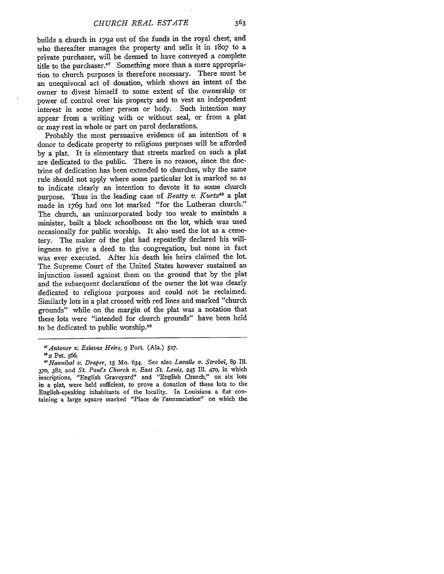builds a church in 1792 out of the funds in the royal chest, and who thereafter manages the property and sells it in 1807 to a private purchaser, will be deemed to have conveyed a complete title to the purchaser.<sup>47</sup> Something more than a mere appropriation to church purposes is therefore necessary. There must be an unequivocal act of donation, which shows an intent of the owner to divest himself to some extent of the ownership or power of control over his property and to vest an independent interest in some other person or body. Such intention may appear from a writing with or without seal, or from a plat or may rest in whole or part on parol declarations.

Probably the most persuasive evidence of an intention of a donor to dedicate property to religious purposes will be afforded by a plat. It is elementary that streets marked on such a plat are dedicated to the public. There is no reason, since the doctrine of dedication has been extended to churches, why the same rule should not apply where some particular lot is marked so as to indicate clearly an intention to devote it to some church purpose. Thus in the leading case of *Beatty v. Kurtz<sup>48</sup>* a plat made in 1769 had one lot marked "for the Lutheran church." The church, an unincorporated body too weak to maintain a minister, built a block schoolhouse on the lot, which was used occasionally for public worship. It also used the lot as a cemetery. The maker of the plat had repeatedly declared his willingness to give a deed to the congregation, but none in fact was ever executed. After his death his heirs claimed the lot. The Supreme Court of the United States however sustained an injunction issued against them on the ground that by the plat and the subsequent declarations of the owner the lot was clearly dedicated to religious purposes and could not be reclaimed. Similarly lots in a plat crossed with red lines and marked "church grounds" while on the margin of the plat was a notation that these lots were "intended for church grounds" have been held to be dedicated to public worship.<sup>49</sup>

*<sup>&#</sup>x27;<sup>T</sup> Antoner v. Eslavas Heirs,* **9** Port. (Ala.) **527.** 482 Pet. 566.

*<sup>&</sup>quot;Hannibal v. Draper,* 15 Mo. 634. See also *Lavalle v. Strobel,* **89** Ill. **370, 382,** and *St. Paul's Church v. East St. Louis,* 245 Ill. 470, in which inscriptions, "English Graveyard" and "English Church," on six lots in a plat, were held sufficient, to prove a donation of these lots to the English-speaking inhabitants of the locality. In Louisiana a flat containing a large square marked "Place de l'annunciation" on which the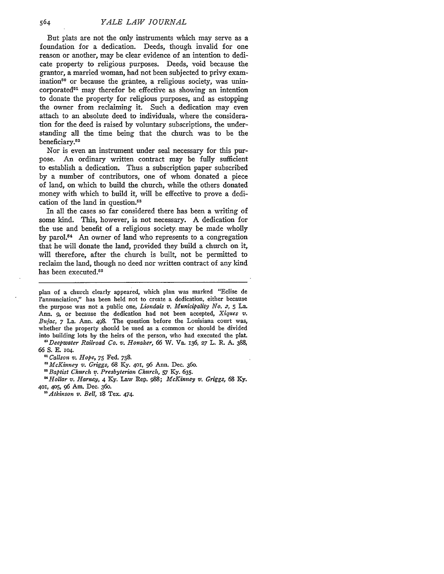But plats are not the only instruments which may serve as a foundation for a dedication. Deeds, though invalid for one reason or another, may be clear evidence of an intention to dedicate property to religious purposes. Deeds, void because the grantor, a married woman, had not been subjected to privy examination<sup>50</sup> or because the grantee, a religious society, was unincorporated<sup> $51$ </sup> may therefor be effective as showing an intention to donate the property for religious purposes, and as estopping the owner from reclaiming it. Such a dedication may even attach to an absolute deed to individuals, where the consideration for the deed is raised by voluntary subscriptions, the understanding all the time being that the church was to be the beneficiary. <sup>52</sup>

Nor is even an instrument under seal necessary for this purpose. An ordinary written contract may be fully sufficient to establish a dedication. Thus a subscription paper subscribed **by** a number of contributors, one of whom. donated a piece of land, on which to build the church, while the others donated money with which to build it, will be effective to prove a dedication of the land in question.<sup>53</sup>

In all the cases so far considered there has been a writing of some kind. This, however, is not necessary. A dedication for the use and benefit of a religious society may be made wholly **by** parol.54 An owner of land who represents to a congregation that he will donate the land, provided they build a church on it, will therefore, after the church is built, not be permitted to reclaim the land, though no deed nor written contract of any kind has been executed.<sup>55</sup>

*' Deepwater Railroad Co. v. Honaker, 66* W. Va. 136, *27* L. R. **A.** 388, *66* **S. E. io4.**

*"1 Callson v. Hope,* 75 Fed. 758. *2*

*" McKinney v. Griggs,* **68 Ky. 4o, 96** Ann. Dec. 36o.

*'Baptist Church v. Presbyterian Church,* **57 Ky. 635.**

*"Hollar v. Harne.y,* 4 Ky. Law Rep. **988;** *McKinney v. Griggs,* 68 **Ky. 401, 405,** *96* Am. Dec. **36o.**

*'Atkinson v. Bell,* i8 Tex. 474.

564

plan of a church clearly appeared, which plan was marked "Eclise de l'annunciation," has been held not to create a dedication, either because the purpose was not a public one, *Liondais v. Municipality No. 2,* 5 La. Ann. **9,** or because the dedication had not been accepted, *Xiques v. Bujac, 7* La. Ann. 498. The question before the Louisiana court was, whether the property should be used as a common or should be divided into building lots by the heirs of the person, who had executed the plat.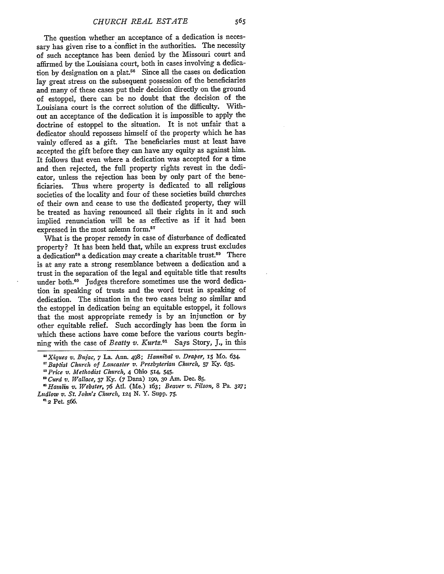The question whether an acceptance of a dedication is necessary has given rise to a conflict in the authorities. The necessity of such acceptance has been denied by the Missouri court and affirmed by the Louisiana court, both in cases involving a dedication by designation on a plat.<sup>56</sup> Since all the cases on dedication lay great stress on the subsequent possession of the beneficiaries and many of these cases put their decision directly on the ground of estoppel, there can be no doubt that the decision of the Louisiana court is the correct solution of the difficulty. Without an acceptance of the dedication it is impossible to apply the doctrine of estoppel to the situation. It is not unfair that a dedicator should repossess himself of the property which he has vainly offered as a gift. The beneficiaries must at least have accepted the gift before they can have any equity as against him. It follows that even where a dedication was accepted for a time and then rejected, the full property rights revest in the dedicator, unless the rejection has been by only part of the beneficiaries. Thus where property is dedicated to all religious societies of the locality and four of these societies build churches of their own and cease to use the dedicated property, they will be treated as having renounced all their rights in it and such implied renunciation will be as effective as if it had been expressed in the most solemn form.<sup>57</sup>

What is the proper remedy in case of disturbance of dedicated property? It has been held that, while an express trust excludes a dedication<sup>58</sup> a dedication may create a charitable trust.<sup>59</sup> There is at any rate a strong resemblance between a dedication and a trust in the separation of the legal and equitable title that results under both.<sup>60</sup> Judges therefore sometimes use the word dedication in speaking of trusts and the word trust in speaking of dedication. The situation in the two cases being so similar and the estoppel in dedication being an equitable estoppel, it follows that the most appropriate remedy is by an injunction or by other equitable relief. Such accordingly has been the form in which these actions have come before the various courts beginning with the case of *Beatty v. Kurtz."1* Says Story, **J.,** in this

*"Baptist Church of Lancaster v. Presbyterian Church, 57* Ky. 635.

*<sup>&</sup>quot;Xiques v. Bujac,* 7 La. Ann. 498; *Hannibal v. Draper, I5* Mo. 634.

<sup>&#</sup>x27;Price *v. Methodist Church,* 4 Ohio 514, 545.

*<sup>&</sup>quot;' Curd v. Wallace, 37* Ky. (7 Dana) 190, 3o Am. Dec. **85.** *'Hainlin v. Webster, 76* Ad. (Me.) 163; *Beaver v. Filson,* 8 Pa. **327;** *Ludlow v. St. \$ohn's Church, 124* **N.** Y. Supp. **75.**

**O2** Pet. **566.**